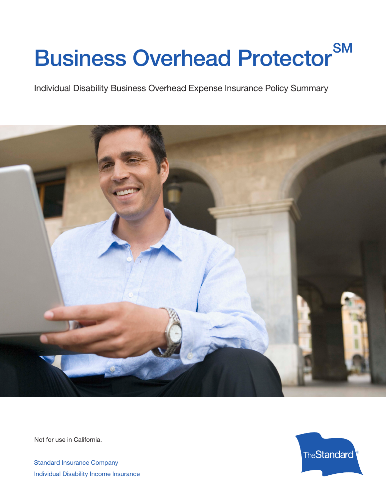# Business Overhead Protector<sup>SM</sup>

Individual Disability Business Overhead Expense Insurance Policy Summary



Not for use in California.

Standard Insurance Company Individual Disability Income Insurance

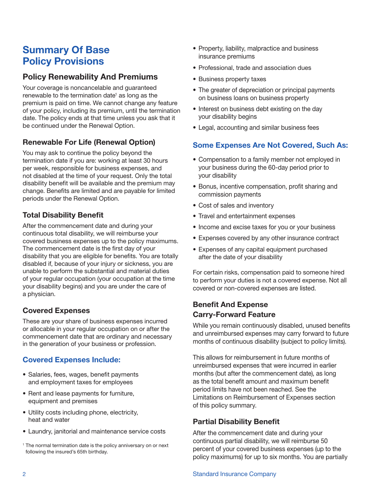# **Summary Of Base Policy Provisions**

# **Policy Renewability And Premiums**

Your coverage is noncancelable and guaranteed renewable to the termination date<sup>1</sup> as long as the premium is paid on time. We cannot change any feature of your policy, including its premium, until the termination date. The policy ends at that time unless you ask that it be continued under the Renewal Option.

# **Renewable For Life (Renewal Option)**

You may ask to continue the policy beyond the termination date if you are: working at least 30 hours per week, responsible for business expenses, and not disabled at the time of your request. Only the total disability benefit will be available and the premium may change. Benefits are limited and are payable for limited periods under the Renewal Option.

#### **Total Disability Benefit**

After the commencement date and during your continuous total disability, we will reimburse your covered business expenses up to the policy maximums. The commencement date is the first day of your disability that you are eligible for benefits. You are totally disabled if, because of your injury or sickness, you are unable to perform the substantial and material duties of your regular occupation (your occupation at the time your disability begins) and you are under the care of a physician.

# **Covered Expenses**

These are your share of business expenses incurred or allocable in your regular occupation on or after the commencement date that are ordinary and necessary in the generation of your business or profession.

#### **Covered Expenses Include:**

- Salaries, fees, wages, benefit payments and employment taxes for employees
- Rent and lease payments for furniture, equipment and premises
- • Utility costs including phone, electricity, heat and water
- Laundry, janitorial and maintenance service costs
- <sup>1</sup> The normal termination date is the policy anniversary on or next following the insured's 65th birthday.
- Property, liability, malpractice and business insurance premiums
- Professional, trade and association dues
- Business property taxes
- The greater of depreciation or principal payments on business loans on business property
- Interest on business debt existing on the day your disability begins
- Legal, accounting and similar business fees

# **Some Expenses Are Not Covered, Such As:**

- Compensation to a family member not employed in your business during the 60-day period prior to your disability
- Bonus, incentive compensation, profit sharing and commission payments
- Cost of sales and inventory
- Travel and entertainment expenses
- Income and excise taxes for you or your business
- Expenses covered by any other insurance contract
- Expenses of any capital equipment purchased after the date of your disability

For certain risks, compensation paid to someone hired to perform your duties is not a covered expense. Not all covered or non-covered expenses are listed.

#### **Benefit And Expense Carry‑Forward Feature**

While you remain continuously disabled, unused benefits and unreimbursed expenses may carry forward to future months of continuous disability (subject to policy limits).

This allows for reimbursement in future months of unreimbursed expenses that were incurred in earlier months (but after the commencement date), as long as the total benefit amount and maximum benefit period limits have not been reached. See the Limitations on Reimbursement of Expenses section of this policy summary.

#### **Partial Disability Benefit**

After the commencement date and during your continuous partial disability, we will reimburse 50 percent of your covered business expenses (up to the policy maximums) for up to six months. You are partially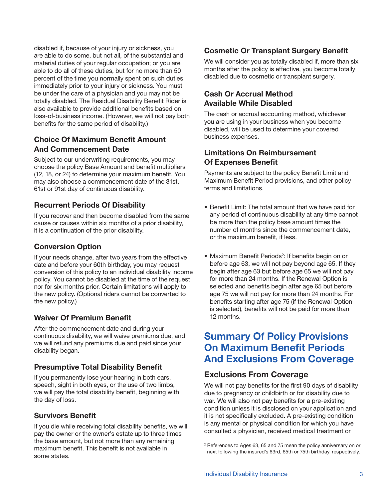disabled if, because of your injury or sickness, you are able to do some, but not all, of the substantial and material duties of your regular occupation; or you are able to do all of these duties, but for no more than 50 percent of the time you normally spent on such duties immediately prior to your injury or sickness. You must be under the care of a physician and you may not be totally disabled. The Residual Disability Benefit Rider is also available to provide additional benefits based on loss-of-business income. (However, we will not pay both benefits for the same period of disability.)

# **Choice Of Maximum Benefit Amount And Commencement Date**

Subject to our underwriting requirements, you may choose the policy Base Amount and benefit multipliers (12, 18, or 24) to determine your maximum benefit. You may also choose a commencement date of the 31st, 61st or 91st day of continuous disability.

# **Recurrent Periods Of Disability**

If you recover and then become disabled from the same cause or causes within six months of a prior disability, it is a continuation of the prior disability.

## **Conversion Option**

If your needs change, after two years from the effective date and before your 60th birthday, you may request conversion of this policy to an individual disability income policy. You cannot be disabled at the time of the request nor for six months prior. Certain limitations will apply to the new policy. (Optional riders cannot be converted to the new policy.)

#### **Waiver Of Premium Benefit**

After the commencement date and during your continuous disability, we will waive premiums due, and we will refund any premiums due and paid since your disability began.

#### **Presumptive Total Disability Benefit**

If you permanently lose your hearing in both ears, speech, sight in both eyes, or the use of two limbs, we will pay the total disability benefit, beginning with the day of loss.

#### **Survivors Benefit**

If you die while receiving total disability benefits, we will pay the owner or the owner's estate up to three times the base amount, but not more than any remaining maximum benefit. This benefit is not available in some states.

# **Cosmetic Or Transplant Surgery Benefit**

We will consider you as totally disabled if, more than six months after the policy is effective, you become totally disabled due to cosmetic or transplant surgery.

# **Cash Or Accrual Method Available While Disabled**

The cash or accrual accounting method, whichever you are using in your business when you become disabled, will be used to determine your covered business expenses.

## **Limitations On Reimbursement Of Expenses Benefit**

Payments are subject to the policy Benefit Limit and Maximum Benefit Period provisions, and other policy terms and limitations.

- Benefit Limit: The total amount that we have paid for any period of continuous disability at any time cannot be more than the policy base amount times the number of months since the commencement date, or the maximum benefit, if less.
- Maximum Benefit Periods<sup>2</sup>: If benefits begin on or before age 63, we will not pay beyond age 65. If they begin after age 63 but before age 65 we will not pay for more than 24 months. If the Renewal Option is selected and benefits begin after age 65 but before age 75 we will not pay for more than 24 months. For benefits starting after age 75 (if the Renewal Option is selected), benefits will not be paid for more than 12 months.

# **Summary Of Policy Provisions On Maximum Benefit Periods And Exclusions From Coverage**

# **Exclusions From Coverage**

We will not pay benefits for the first 90 days of disability due to pregnancy or childbirth or for disability due to war. We will also not pay benefits for a pre-existing condition unless it is disclosed on your application and it is not specifically excluded. A pre-existing condition is any mental or physical condition for which you have consulted a physician, received medical treatment or

<sup>2</sup> References to Ages 63, 65 and 75 mean the policy anniversary on or next following the insured's 63rd, 65th or 75th birthday, respectively.